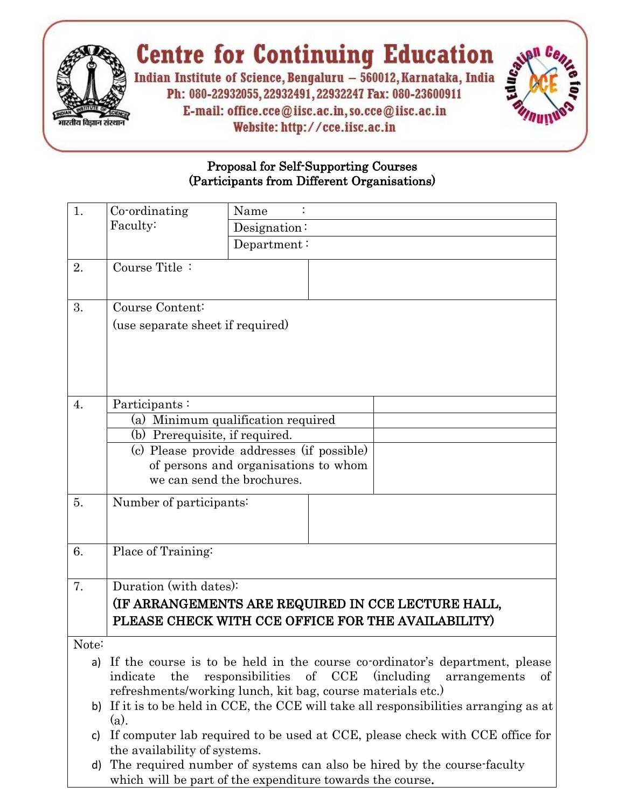

## **Centre for Continuing Education**

Indian Institute of Science, Bengaluru - 560012, Karnataka, India Ph: 080-22932055, 22932491, 22932247 Fax: 080-23600911 E-mail: office.cce@iisc.ac.in, so.cce@iisc.ac.in Website: http://cce.iisc.ac.in



## Proposal for Self-Supporting Courses (Participants from Different Organisations)

| 1.    | Co-ordinating                                                                                                                                        | Name                                                                         |  |
|-------|------------------------------------------------------------------------------------------------------------------------------------------------------|------------------------------------------------------------------------------|--|
|       | Faculty:                                                                                                                                             | Designation:                                                                 |  |
|       |                                                                                                                                                      | Department:                                                                  |  |
| 2.    | Course Title:                                                                                                                                        |                                                                              |  |
| 3.    | Course Content:                                                                                                                                      |                                                                              |  |
|       | (use separate sheet if required)                                                                                                                     |                                                                              |  |
|       |                                                                                                                                                      |                                                                              |  |
|       |                                                                                                                                                      |                                                                              |  |
|       |                                                                                                                                                      |                                                                              |  |
|       |                                                                                                                                                      |                                                                              |  |
| 4.    | Participants:                                                                                                                                        |                                                                              |  |
|       | (a) Minimum qualification required                                                                                                                   |                                                                              |  |
|       | (b) Prerequisite, if required.                                                                                                                       |                                                                              |  |
|       | (c) Please provide addresses (if possible)<br>of persons and organisations to whom                                                                   |                                                                              |  |
|       | we can send the brochures.                                                                                                                           |                                                                              |  |
| 5.    |                                                                                                                                                      |                                                                              |  |
|       | Number of participants:                                                                                                                              |                                                                              |  |
|       |                                                                                                                                                      |                                                                              |  |
| 6.    | Place of Training:                                                                                                                                   |                                                                              |  |
|       |                                                                                                                                                      |                                                                              |  |
| 7.    | Duration (with dates):                                                                                                                               |                                                                              |  |
|       | (IF ARRANGEMENTS ARE REQUIRED IN CCE LECTURE HALL,<br>PLEASE CHECK WITH CCE OFFICE FOR THE AVAILABILITY)                                             |                                                                              |  |
|       |                                                                                                                                                      |                                                                              |  |
|       |                                                                                                                                                      |                                                                              |  |
| Note: |                                                                                                                                                      |                                                                              |  |
| a)    | If the course is to be held in the course co-ordinator's department, please                                                                          |                                                                              |  |
|       | indicate<br>the                                                                                                                                      | responsibilities of CCE (including<br>of<br>arrangements                     |  |
|       | refreshments/working lunch, kit bag, course materials etc.)<br>b) If it is to be held in CCE, the CCE will take all responsibilities arranging as at |                                                                              |  |
|       | $(a)$ .                                                                                                                                              |                                                                              |  |
| C)    |                                                                                                                                                      | If computer lab required to be used at CCE, please check with CCE office for |  |
|       | the availability of systems.                                                                                                                         |                                                                              |  |
| d)    |                                                                                                                                                      | The required number of systems can also be hired by the course-faculty       |  |
|       |                                                                                                                                                      | which will be part of the expenditure towards the course.                    |  |